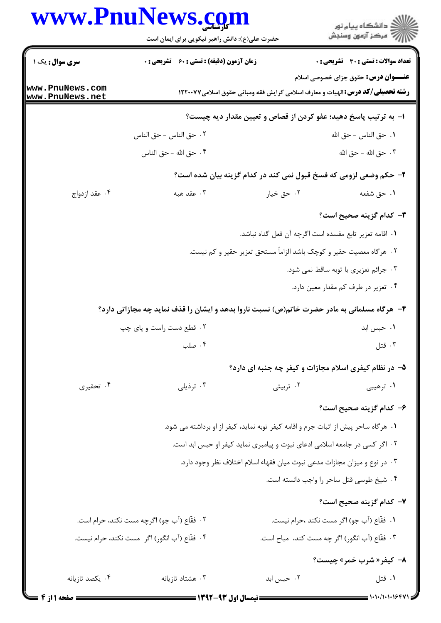## www.PnuNews.com

|                                  | www.PnuNews.com<br>حضرت علی(ع): دانش راهبر نیکویی برای ایمان است                            |            | ڪ دانشڪاه پيا <sub>م</sub> نور<br>۾ سرڪز آزمون وسنڊش                                                                                |  |  |
|----------------------------------|---------------------------------------------------------------------------------------------|------------|-------------------------------------------------------------------------------------------------------------------------------------|--|--|
| <b>سری سوال :</b> یک ۱           | <b>زمان آزمون (دقیقه) : تستی : 60 ٪ تشریحی : 0</b>                                          |            | <b>تعداد سوالات : تستي : 30 ٪ تشريحي : 0</b>                                                                                        |  |  |
| ww.PnuNews.com<br>ww.PnuNews.net |                                                                                             |            | <b>عنـــوان درس:</b> حقوق جزای خصوصی اسلام<br><b>رشته تحصیلی/کد درس: ا</b> لهیات و معارف اسلامی گرایش فقه ومبانی حقوق اسلامی۱۲۲۰۰۷۷ |  |  |
|                                  | ۱– به ترتیب پاسخ دهید؛ عفو کردن از قصاص و تعیین مقدار دیه چیست؟                             |            |                                                                                                                                     |  |  |
|                                  | ٠٢ حق الناس - حق الناس                                                                      |            | ٠١. حق الناس - حق الله                                                                                                              |  |  |
|                                  | ۰۴ حق الله - حق الناس                                                                       |            | ٠٣ حق الله - حق الله                                                                                                                |  |  |
|                                  |                                                                                             |            | ۲- حکم وضعی لزومی که فسخ قبول نمی کند در کدام گزینه بیان شده است؟                                                                   |  |  |
| ۰۴ عقد ازدواج                    | ۰۳ عقد هبه                                                                                  | ۰۲ حق خیار | ۰۱ حق شفعه                                                                                                                          |  |  |
|                                  |                                                                                             |            | <b>٣</b> – كدام گزينه صحيح است؟                                                                                                     |  |  |
|                                  |                                                                                             |            | ٠١. اقامه تعزير تابع مفسده است اگرچه آن فعل گناه نباشد.                                                                             |  |  |
|                                  |                                                                                             |            | ۰۲ هرگاه معصیت حقیر و کوچک باشد الزاماً مستحق تعزیر حقیر و کم نیست.                                                                 |  |  |
|                                  |                                                                                             |            | ۰۳ جرائم تعزیری با توبه ساقط نمی شود.                                                                                               |  |  |
|                                  |                                                                                             |            | ۰۴ تعزیر در طرف کم مقدار معین دارد.                                                                                                 |  |  |
|                                  | ۴- هرگاه مسلمانی به مادر حضرت خاتم(ص) نسبت ناروا بدهد و ایشان را قذف نماید چه مجازاتی دارد؟ |            |                                                                                                                                     |  |  |
|                                  | ۰۲ قطع دست راست و پای چپ                                                                    |            | ۰۱ حبس ابد                                                                                                                          |  |  |
|                                  | ۰۴ صلب                                                                                      |            | ۰۳ قتل                                                                                                                              |  |  |
|                                  |                                                                                             |            | ۵- در نظام کیفری اسلام مجازات و کیفر چه جنبه ای دارد؟                                                                               |  |  |
| ۰۴ تحقیری                        | ۰۳ ترذیلی                                                                                   | ۰۲ تربیتی  | ۰۱ ترهیبی                                                                                                                           |  |  |
|                                  |                                                                                             |            | ۶– کدام گزینه صحیح است؟                                                                                                             |  |  |
|                                  | ۰۱ هرگاه ساحر پیش از اثبات جرم و اقامه کیفر توبه نماید، کیفر از او برداشته می شود.          |            |                                                                                                                                     |  |  |
|                                  | ۲. اگر کسی در جامعه اسلامی ادعای نبوت و پیامبری نماید کیفر او حبس ابد است.                  |            |                                                                                                                                     |  |  |
|                                  | ۰۳ در نوع و میزان مجازات مدعی نبوت میان فقهاء اسلام اختلاف نظر وجود دارد.                   |            |                                                                                                                                     |  |  |
|                                  |                                                                                             |            | ۰۴ شیخ طوسی قتل ساحر را واجب دانسته است.                                                                                            |  |  |
|                                  |                                                                                             |            | ۷– کدام گزینه صحیح است؟                                                                                                             |  |  |
|                                  | ٢.  فقَّاع (آب جو) اگرچه مست نكند، حرام است.                                                |            | ٠١. فقَّاع (أب جو) اگر مست نكند ،حرام نيست.                                                                                         |  |  |
|                                  | ۴. فقّاع (أب انگور) اگر  مست نكند، حرام نيست.                                               |            | ٣. فقّاع (آب انگور) اگر چه مست کند،  مباح است.                                                                                      |  |  |
|                                  |                                                                                             |            | <b>٨- کیفر « شرب خمر » چیست؟</b>                                                                                                    |  |  |
| ۰۴ يكصد تازيانه                  | ۰۳ هشتاد تازیانه                                                                            | ۰۲ حبس ابد | ۰۱ قتل                                                                                                                              |  |  |

 $1 - 1 - 11 - 124$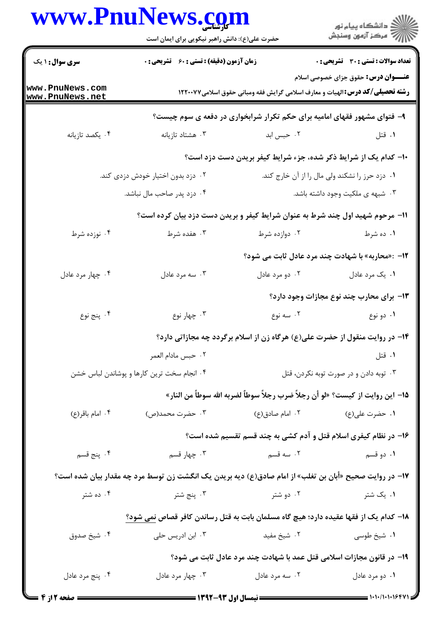|                                                                                                        | www.PnuNews.com<br>حضرت علی(ع): دانش راهبر نیکویی برای ایمان است                     |                                                                                       | ڪ دانشڪاه پيام نور<br><mark>ر</mark> √ مرڪز آزمون وسنڊش |  |
|--------------------------------------------------------------------------------------------------------|--------------------------------------------------------------------------------------|---------------------------------------------------------------------------------------|---------------------------------------------------------|--|
| <b>سری سوال : ۱ یک</b>                                                                                 | <b>زمان آزمون (دقیقه) : تستی : 60 ٪ تشریحی : 0</b>                                   |                                                                                       | <b>تعداد سوالات : تستی : 30 ٪ تشریحی : 0</b>            |  |
| www.PnuNews.com<br>www.PnuNews.net                                                                     |                                                                                      | <b>رشته تحصیلی/کد درس: ا</b> لهیات و معارف اسلامی گرایش فقه ومبانی حقوق اسلامی۱۲۲۰۰۷۷ | <b>عنـــوان درس:</b> حقوق جزای خصوصی اسلام              |  |
|                                                                                                        |                                                                                      | ۹- فتوای مشهور فقهای امامیه برای حکم تکرار شرابخواری در دفعه ی سوم چیست؟              |                                                         |  |
| ۰۴ يكصد تازيانه                                                                                        | ۰۳ هشتاد تازیانه                                                                     | ۰۲ حبس ابد                                                                            | ۰۱ قتل                                                  |  |
|                                                                                                        |                                                                                      | ۱۰– کدام یک از شرایط ذکر شده، جزء شرایط کیفر بریدن دست دزد است؟                       |                                                         |  |
|                                                                                                        | ۰۲ دزد بدون اختیار خودش دزدی کند.                                                    |                                                                                       | ۰۱ دزد حرز را نشکند ولی مال را از آن خارج کند.          |  |
|                                                                                                        | ۰۴ دزد پدر صاحب مال نباشد.                                                           |                                                                                       | ۰۳ شبهه ی ملکیت وجود داشته باشد.                        |  |
|                                                                                                        | 1۱- مرحوم شهید اول چند شرط به عنوان شرایط کیفر و بریدن دست دزد بیان کرده است؟        |                                                                                       |                                                         |  |
| ۰۴ نوزده شرط                                                                                           | ۰۳ هفده شرط                                                                          | ۰۲ دوازده شرط                                                                         | ۰۱ ده شرط                                               |  |
|                                                                                                        |                                                                                      |                                                                                       | ۱۲-  :«محاربه» با شهادت چند مرد عادل ثابت می شود؟       |  |
| ۰۴ چهار مرد عادل                                                                                       | ۰۳ سه مرد عادل                                                                       | ۰۲ دو مرد عادل                                                                        | ۰۱ يک مرد عادل                                          |  |
|                                                                                                        |                                                                                      |                                                                                       | 1۳- برای محارب چند نوع مجازات وجود دارد؟                |  |
| ۰۴ پنج نوع                                                                                             | ۰۳ چهار نوع                                                                          | ۰۲ سه نوع                                                                             | ۰۱ دو نوع                                               |  |
|                                                                                                        |                                                                                      | ۱۴- در روایت منقول از حضرت علی(ع) هرگاه زن از اسلام برگردد چه مجازاتی دارد؟           |                                                         |  |
|                                                                                                        | ٠٢ حبس مادام العمر                                                                   |                                                                                       | ۰۱ قتل                                                  |  |
|                                                                                                        | ۰۴ انجام سخت ترین کارها و پوشاندن لباس خشن                                           |                                                                                       | ۰۳ توبه دادن و در صورت توبه نکردن، قتل                  |  |
|                                                                                                        |                                                                                      | 1۵– اين روايت از كيست؟ «لو أن رجلاً ضرب رجلاً سوطاً لضربه الله سوطاً من النار»        |                                                         |  |
| ۰۴ امام باقر(ع)                                                                                        | ۰۳ حضرت محمد(ص)                                                                      | ۰۲ امام صادق(ع)                                                                       | ۰۱ حضرت على(ع)                                          |  |
|                                                                                                        |                                                                                      | ۱۶- در نظام کیفری اسلام قتل و آدم کشی به چند قسم تقسیم شده است؟                       |                                                         |  |
| ۰۴ پنج قسم                                                                                             | ۰۳ چهار قسم                                                                          | ۰۲ سه قسم                                                                             | ۰۱ دو قسم                                               |  |
| ۱۷– در روایت صحیح «أبان بن تغلب» از امام صادق(ع) دیه بریدن یک انگشت زن توسط مرد چه مقدار بیان شده است؟ |                                                                                      |                                                                                       |                                                         |  |
| ۰۴ ده شتر                                                                                              | ۰۳ پنج شتر                                                                           | ۰۲ دو شتر                                                                             | ۰۱ یک شتر                                               |  |
|                                                                                                        | ۱۸– کدام یک از فقها عقیده دارد؛ هیچ گاه مسلمان بابت به قتل رساندن کافر قصاص نمی شود؟ |                                                                                       |                                                         |  |
| ۰۴ شيخ صدوق                                                                                            | ۰۳ ابن ادریس حلی                                                                     | ۰۲ شیخ مفید                                                                           | ۰۱ شیخ طوسی                                             |  |
|                                                                                                        |                                                                                      | ۱۹- در قانون مجازات اسلامی قتل عمد با شهادت چند مرد عادل ثابت می شود؟                 |                                                         |  |
| ۰۴ پنج مرد عادل                                                                                        | ۰۳ چهار مرد عادل                                                                     | ۰۲ سه مرد عادل                                                                        | ۰۱ دو مرد عادل                                          |  |
|                                                                                                        |                                                                                      |                                                                                       |                                                         |  |

1.1.1.1.164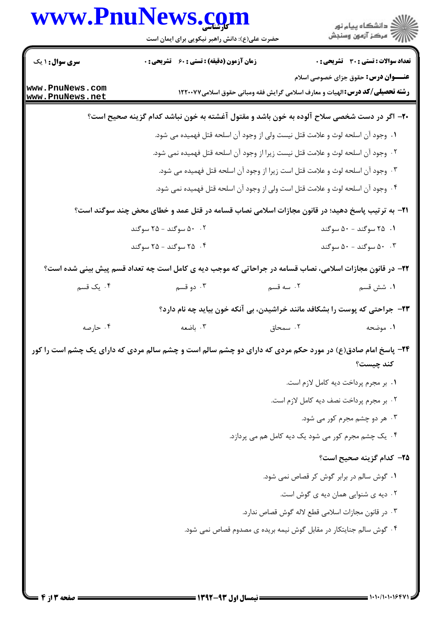|                                    | حضرت علی(ع): دانش راهبر نیکویی برای ایمان است                                                              |                                                                                      | ≦ دانشڪاه پيام نور<br>√ مرڪز آزمون وسنڊش     |
|------------------------------------|------------------------------------------------------------------------------------------------------------|--------------------------------------------------------------------------------------|----------------------------------------------|
| <b>سری سوال : ۱ یک</b>             | زمان آزمون (دقیقه) : تستی : 60 ٪ تشریحی : 0                                                                |                                                                                      | <b>تعداد سوالات : تستی : 30 ٪ تشریحی : 0</b> |
| www.PnuNews.com<br>www.PnuNews.net |                                                                                                            | <b>رشته تحصیلی/کد درس:</b> الهیات و معارف اسلامی گرایش فقه ومبانی حقوق اسلامی۱۲۲۰۰۷۷ | <b>عنـــوان درس:</b> حقوق جزای خصوصی اسلام   |
|                                    | +۲- اگر در دست شخصی سلاح آلوده به خون باشد و مقتول آغشته به خون نباشد کدام گزینه صحیح است؟                 |                                                                                      |                                              |
|                                    |                                                                                                            | ۰۱ وجود آن اسلحه لوث و علامت قتل نیست ولی از وجود آن اسلحه قتل فهمیده می شود.        |                                              |
|                                    |                                                                                                            | ۰۲ وجود آن اسلحه لوث و علامت قتل نیست زیرا از وجود آن اسلحه قتل فهمیده نمی شود.      |                                              |
|                                    |                                                                                                            | ۰۳ وجود آن اسلحه لوث و علامت قتل است زيرا از وجود آن اسلحه قتل فهميده مى شود.        |                                              |
|                                    |                                                                                                            | ۰۴ وجود آن اسلحه لوث و علامت قتل است ولی از وجود آن اسلحه قتل فهمیده نمی شود.        |                                              |
|                                    | <b>۲۱</b> - به ترتیب پاسخ دهید؛ در قانون مجازات اسلامی نصاب قسامه در قتل عمد و خطای محض چند سوگند است؟     |                                                                                      |                                              |
|                                    | ۰۰ سوگند - ۲۵ سوگند)                                                                                       |                                                                                      | ۰۱ ۲۵ سوگند - ۵۰ سوگند                       |
|                                    | ۰۴ سوگند - ۲۵ سوگند                                                                                        |                                                                                      | ۰۰ سوگند - ۵۰ سوگند                          |
|                                    | ۲۲- در قانون مجازات اسلامی، نصاب قسامه در جراحاتی که موجب دیه ی کامل است چه تعداد قسم پیش بینی شده است؟    |                                                                                      |                                              |
| ۰۴ یک قسم                          | ۰۳ دو قسم                                                                                                  | ۰۲ سه قسم                                                                            | ١. شش قسم                                    |
|                                    |                                                                                                            | ۲۳- جراحتی که پوست را بشکافد مانند خراشیدن، بی آنکه خون بیاید چه نام دارد؟           |                                              |
| ۰۴ حارصه                           | ۰۳ باضعه                                                                                                   | ۲. سمحاق                                                                             | ۰۱ موضحه                                     |
|                                    | ۲۴- پاسخ امام صادق(ع) در مورد حکم مردی که دارای دو چشم سالم است و چشم سالم مردی که دارای یک چشم است را کور |                                                                                      | كند چيست؟                                    |
|                                    |                                                                                                            |                                                                                      | ٠١. بر مجرم پرداخت ديه كامل لازم است.        |
|                                    |                                                                                                            |                                                                                      | ٢. بر مجرم پرداخت نصف ديه كامل لازم است.     |
|                                    |                                                                                                            |                                                                                      | ۰۳ هر دو چشم مجرم کور می شود.                |
|                                    |                                                                                                            | ۰۴ یک چشم مجرم کور می شود یک دیه کامل هم می پردازد.                                  |                                              |
|                                    |                                                                                                            |                                                                                      | ۲۵– کدام گزینه صحیح است؟                     |
|                                    |                                                                                                            | ٠١ گوش سالم در برابر گوش كر قصاص نمى شود.                                            |                                              |
|                                    |                                                                                                            |                                                                                      | ۰۲ دیه ی شنوایی همان دیه ی گوش است.          |
|                                    |                                                                                                            | ٠٣ در قانون مجازات اسلامي قطع لاله گوش قصاص ندارد.                                   |                                              |
|                                    |                                                                                                            | ۰۴ گوش سالم جنایتکار در مقابل گوش نیمه بریده ی مصدوم قصاص نمی شود.                   |                                              |